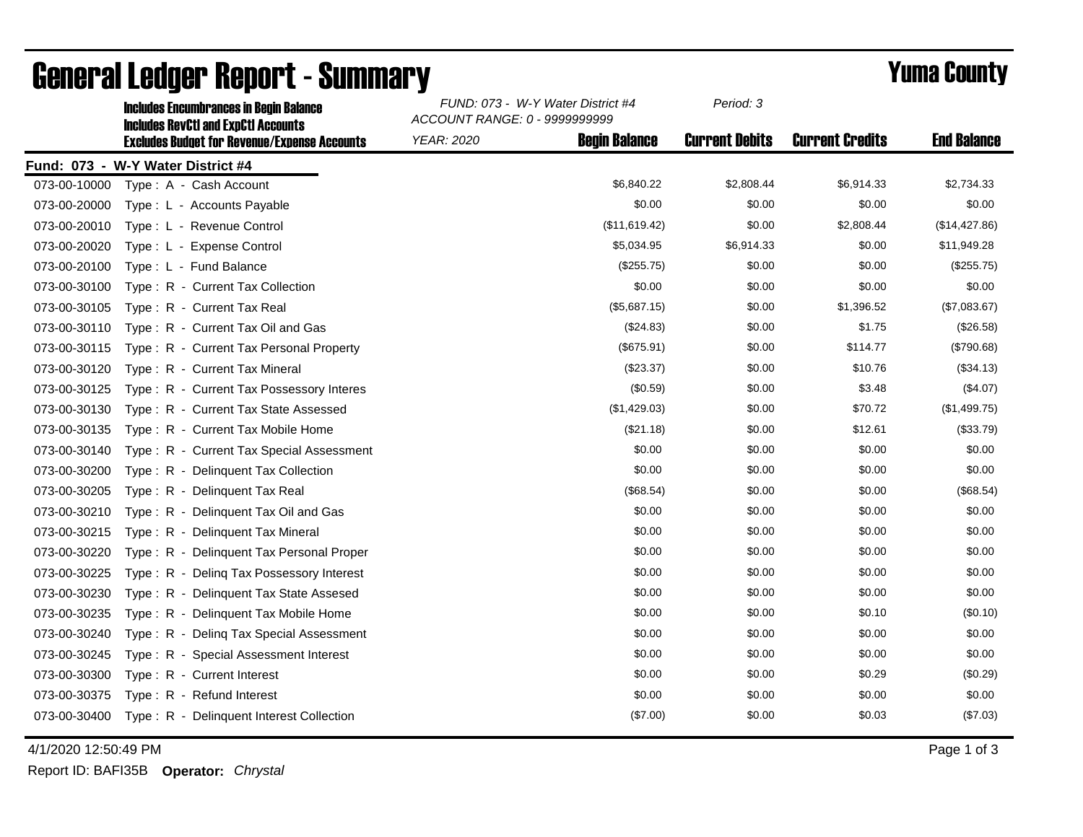|              | <b>Includes Encumbrances in Begin Balance</b><br><b>Includes RevCtI and ExpCtI Accounts</b> | FUND: 073 - W-Y Water District #4<br>ACCOUNT RANGE: 0 - 9999999999 |                      | Period: 3             |                        |                    |
|--------------|---------------------------------------------------------------------------------------------|--------------------------------------------------------------------|----------------------|-----------------------|------------------------|--------------------|
|              | <b>Excludes Budget for Revenue/Expense Accounts</b>                                         | <b>YEAR: 2020</b>                                                  | <b>Begin Balance</b> | <b>Current Debits</b> | <b>Current Credits</b> | <b>End Balance</b> |
|              | Fund: 073 - W-Y Water District #4                                                           |                                                                    |                      |                       |                        |                    |
| 073-00-10000 | Type: A - Cash Account                                                                      |                                                                    | \$6,840.22           | \$2,808.44            | \$6,914.33             | \$2,734.33         |
| 073-00-20000 | Type: L - Accounts Payable                                                                  |                                                                    | \$0.00               | \$0.00                | \$0.00                 | \$0.00             |
| 073-00-20010 | Type: L - Revenue Control                                                                   |                                                                    | (\$11,619.42)        | \$0.00                | \$2,808.44             | (\$14,427.86)      |
| 073-00-20020 | Type: L - Expense Control                                                                   |                                                                    | \$5,034.95           | \$6,914.33            | \$0.00                 | \$11,949.28        |
| 073-00-20100 | Type: L - Fund Balance                                                                      |                                                                    | (\$255.75)           | \$0.00                | \$0.00                 | (\$255.75)         |
| 073-00-30100 | Type: R - Current Tax Collection                                                            |                                                                    | \$0.00               | \$0.00                | \$0.00                 | \$0.00             |
| 073-00-30105 | Type: R - Current Tax Real                                                                  |                                                                    | (\$5,687.15)         | \$0.00                | \$1,396.52             | (\$7,083.67)       |
| 073-00-30110 | Type: R - Current Tax Oil and Gas                                                           |                                                                    | (\$24.83)            | \$0.00                | \$1.75                 | (\$26.58)          |
| 073-00-30115 | Type: R - Current Tax Personal Property                                                     |                                                                    | (\$675.91)           | \$0.00                | \$114.77               | (\$790.68)         |
| 073-00-30120 | Type: R - Current Tax Mineral                                                               |                                                                    | $(\$23.37)$          | \$0.00                | \$10.76                | (\$34.13)          |
| 073-00-30125 | Type: R - Current Tax Possessory Interes                                                    |                                                                    | (\$0.59)             | \$0.00                | \$3.48                 | (\$4.07)           |
| 073-00-30130 | Type: R - Current Tax State Assessed                                                        |                                                                    | (\$1,429.03)         | \$0.00                | \$70.72                | (\$1,499.75)       |
| 073-00-30135 | Type: R - Current Tax Mobile Home                                                           |                                                                    | (\$21.18)            | \$0.00                | \$12.61                | (\$33.79)          |
| 073-00-30140 | Type: R - Current Tax Special Assessment                                                    |                                                                    | \$0.00               | \$0.00                | \$0.00                 | \$0.00             |
| 073-00-30200 | Type: R - Delinquent Tax Collection                                                         |                                                                    | \$0.00               | \$0.00                | \$0.00                 | \$0.00             |
| 073-00-30205 | Type: R - Delinguent Tax Real                                                               |                                                                    | (\$68.54)            | \$0.00                | \$0.00                 | (\$68.54)          |
| 073-00-30210 | Type: R - Delinquent Tax Oil and Gas                                                        |                                                                    | \$0.00               | \$0.00                | \$0.00                 | \$0.00             |
| 073-00-30215 | Type: R - Delinguent Tax Mineral                                                            |                                                                    | \$0.00               | \$0.00                | \$0.00                 | \$0.00             |
| 073-00-30220 | Type: R - Delinquent Tax Personal Proper                                                    |                                                                    | \$0.00               | \$0.00                | \$0.00                 | \$0.00             |
| 073-00-30225 | Type: R - Deling Tax Possessory Interest                                                    |                                                                    | \$0.00               | \$0.00                | \$0.00                 | \$0.00             |
| 073-00-30230 | Type: R - Delinquent Tax State Assesed                                                      |                                                                    | \$0.00               | \$0.00                | \$0.00                 | \$0.00             |
| 073-00-30235 | Type: R - Delinquent Tax Mobile Home                                                        |                                                                    | \$0.00               | \$0.00                | \$0.10                 | (\$0.10)           |
| 073-00-30240 | Type: R - Deling Tax Special Assessment                                                     |                                                                    | \$0.00               | \$0.00                | \$0.00                 | \$0.00             |
| 073-00-30245 | Type: R - Special Assessment Interest                                                       |                                                                    | \$0.00               | \$0.00                | \$0.00                 | \$0.00             |
| 073-00-30300 | Type: R - Current Interest                                                                  |                                                                    | \$0.00               | \$0.00                | \$0.29                 | (\$0.29)           |
| 073-00-30375 | Type: R - Refund Interest                                                                   |                                                                    | \$0.00               | \$0.00                | \$0.00                 | \$0.00             |
| 073-00-30400 | Type: R - Delinquent Interest Collection                                                    |                                                                    | (\$7.00)             | \$0.00                | \$0.03                 | (\$7.03)           |

## General Ledger Report - Summary **Example 2018** Yuma County

4/1/2020 12:50:49 PM Page 1 of 3

Report ID: BAFI35B **Operator:** *Chrystal*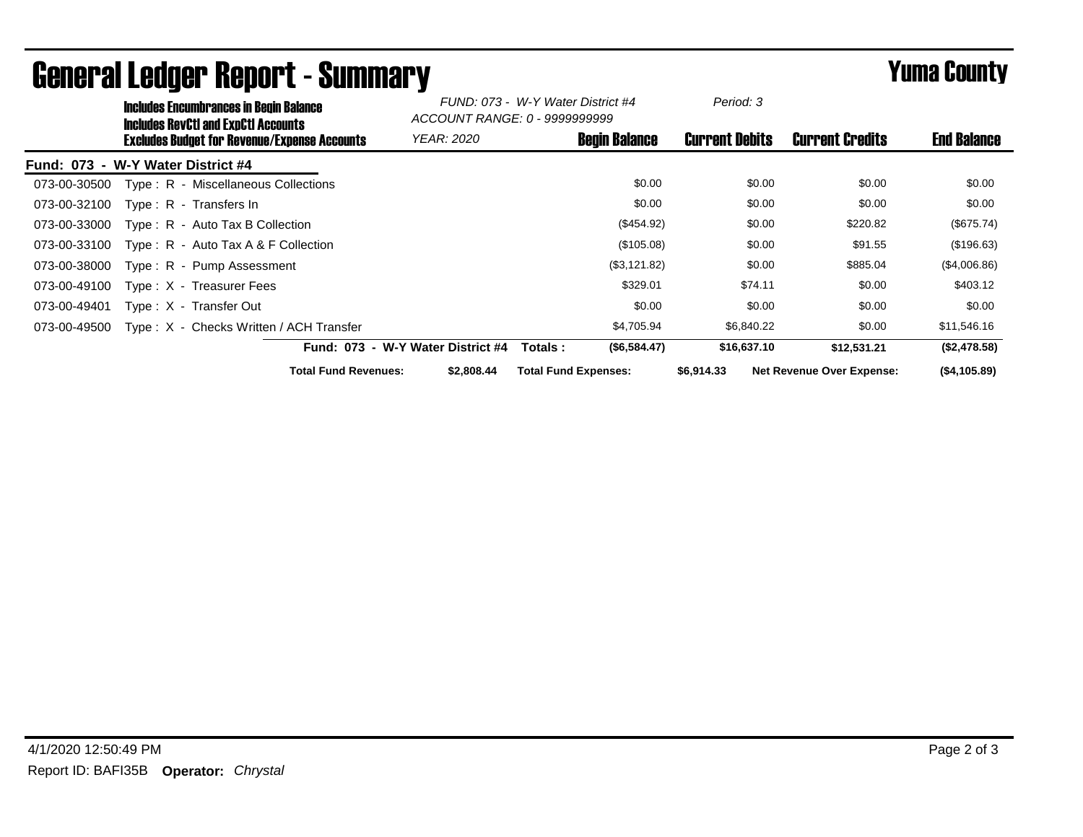|              | <b>Includes Encumbrances in Begin Balance</b><br><b>Includes RevCtI and ExpCtI Accounts</b> |                                   | FUND: 073 - W-Y Water District #4<br>ACCOUNT RANGE: 0 - 99999999999 |                             | Period: 3            |                       |                                  |                    |
|--------------|---------------------------------------------------------------------------------------------|-----------------------------------|---------------------------------------------------------------------|-----------------------------|----------------------|-----------------------|----------------------------------|--------------------|
|              | <b>Excludes Budget for Revenue/Expense Accounts</b>                                         |                                   | <i>YEAR: 2020</i>                                                   |                             | <b>Begin Balance</b> | <b>Current Debits</b> | <b>Current Credits</b>           | <b>End Balance</b> |
|              | Fund: 073 - W-Y Water District #4                                                           |                                   |                                                                     |                             |                      |                       |                                  |                    |
| 073-00-30500 | Type: R - Miscellaneous Collections                                                         |                                   |                                                                     |                             | \$0.00               | \$0.00                | \$0.00                           | \$0.00             |
| 073-00-32100 | Type: R - Transfers In                                                                      |                                   |                                                                     |                             | \$0.00               | \$0.00                | \$0.00                           | \$0.00             |
| 073-00-33000 | $Type: R - Auto Tax B Collection$                                                           |                                   |                                                                     |                             | (\$454.92)           | \$0.00                | \$220.82                         | (\$675.74)         |
| 073-00-33100 | Type: $R -$ Auto Tax A & F Collection                                                       |                                   |                                                                     |                             | (\$105.08)           | \$0.00                | \$91.55                          | (\$196.63)         |
| 073-00-38000 | Type: R - Pump Assessment                                                                   |                                   |                                                                     |                             | (\$3,121.82)         | \$0.00                | \$885.04                         | (\$4,006.86)       |
| 073-00-49100 | Type: X - Treasurer Fees                                                                    |                                   |                                                                     |                             | \$329.01             | \$74.11               | \$0.00                           | \$403.12           |
| 073-00-49401 | Type: X - Transfer Out                                                                      |                                   |                                                                     |                             | \$0.00               | \$0.00                | \$0.00                           | \$0.00             |
| 073-00-49500 | Type: X - Checks Written / ACH Transfer                                                     |                                   |                                                                     |                             | \$4,705.94           | \$6,840.22            | \$0.00                           | \$11,546.16        |
|              |                                                                                             | Fund: 073 - W-Y Water District #4 |                                                                     | Totals :                    | (\$6,584.47)         | \$16,637.10           | \$12,531.21                      | (\$2,478.58)       |
|              |                                                                                             | <b>Total Fund Revenues:</b>       | \$2,808,44                                                          | <b>Total Fund Expenses:</b> |                      | \$6,914.33            | <b>Net Revenue Over Expense:</b> | (\$4,105.89)       |

## General Ledger Report - Summary **Example 2018** Yuma County